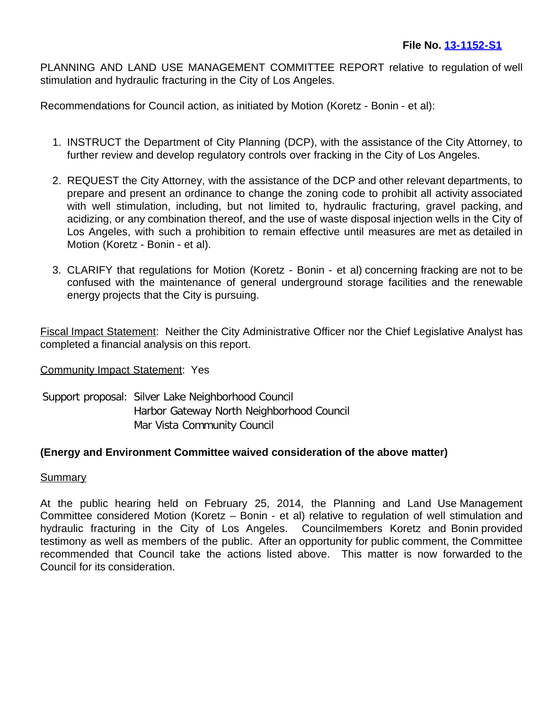PLANNING AND LAND USE MANAGEMENT COMMITTEE REPORT relative to regulation of well stimulation and hydraulic fracturing in the City of Los Angeles.

Recommendations for Council action, as initiated by Motion (Koretz - Bonin - et al):

- 1. INSTRUCT the Department of City Planning (DCP), with the assistance of the City Attorney, to further review and develop regulatory controls over fracking in the City of Los Angeles.
- 2. REQUEST the City Attorney, with the assistance of the DCP and other relevant departments, to prepare and present an ordinance to change the zoning code to prohibit all activity associated with well stimulation, including, but not limited to, hydraulic fracturing, gravel packing, and acidizing, or any combination thereof, and the use of waste disposal injection wells in the City of Los Angeles, with such a prohibition to remain effective until measures are met as detailed in Motion (Koretz - Bonin - et al).
- 3. CLARIFY that regulations for Motion (Koretz Bonin et al) concerning fracking are not to be confused with the maintenance of general underground storage facilities and the renewable energy projects that the City is pursuing.

Fiscal Impact Statement: Neither the City Administrative Officer nor the Chief Legislative Analyst has completed a financial analysis on this report.

## Community Impact Statement: Yes

Support proposal: Silver Lake Neighborhood Council Harbor Gateway North Neighborhood Council Mar Vista Community Council

## **(Energy and Environment Committee waived consideration of the above matter)**

## **Summary**

At the public hearing held on February 25, 2014, the Planning and Land Use Management Committee considered Motion (Koretz – Bonin - et al) relative to regulation of well stimulation and hydraulic fracturing in the City of Los Angeles. Councilmembers Koretz and Bonin provided testimony as well as members of the public. After an opportunity for public comment, the Committee recommended that Council take the actions listed above. This matter is now forwarded to the Council for its consideration.